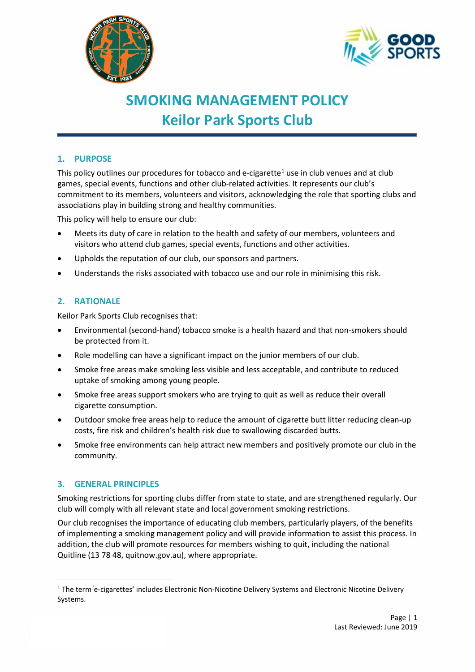



# **SMOKING MANAGEMENT POLICY Keilor Park Sports Club**

# **1. PURPOSE**

This policy outlines our procedures for tobacco and e-cigarette<sup>[1](#page-0-0)</sup> use in club venues and at club games, special events, functions and other club-related activities. It represents our club's commitment to its members, volunteers and visitors, acknowledging the role that sporting clubs and associations play in building strong and healthy communities.

This policy will help to ensure our club:

- Meets its duty of care in relation to the health and safety of our members, volunteers and visitors who attend club games, special events, functions and other activities.
- Upholds the reputation of our club, our sponsors and partners.
- Understands the risks associated with tobacco use and our role in minimising this risk.

# **2. RATIONALE**

Keilor Park Sports Club recognises that:

- Environmental (second-hand) tobacco smoke is a health hazard and that non-smokers should be protected from it.
- Role modelling can have a significant impact on the junior members of our club.
- Smoke free areas make smoking less visible and less acceptable, and contribute to reduced uptake of smoking among young people.
- Smoke free areas support smokers who are trying to quit as well as reduce their overall cigarette consumption.
- Outdoor smoke free areas help to reduce the amount of cigarette butt litter reducing clean-up costs, fire risk and children's health risk due to swallowing discarded butts.
- Smoke free environments can help attract new members and positively promote our club in the community.

### **3. GENERAL PRINCIPLES**

Smoking restrictions for sporting clubs differ from state to state, and are strengthened regularly. Our club will comply with all relevant state and local government smoking restrictions.

Our club recognises the importance of educating club members, particularly players, of the benefits of implementing a smoking management policy and will provide information to assist this process. In addition, the club will promote resources for members wishing to quit, including the national Quitline (13 78 48, quitnow.gov.au), where appropriate.

<span id="page-0-0"></span><sup>&</sup>lt;sup>1</sup> The term 'e-cigarettes' includes Electronic Non-Nicotine Delivery Systems and Electronic Nicotine Delivery Systems.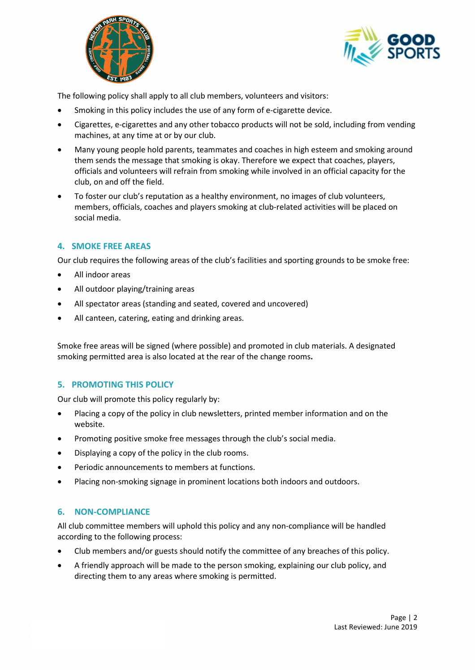



The following policy shall apply to all club members, volunteers and visitors:

- Smoking in this policy includes the use of any form of e-cigarette device.
- Cigarettes, e-cigarettes and any other tobacco products will not be sold, including from vending machines, at any time at or by our club.
- Many young people hold parents, teammates and coaches in high esteem and smoking around them sends the message that smoking is okay. Therefore we expect that coaches, players, officials and volunteers will refrain from smoking while involved in an official capacity for the club, on and off the field.
- To foster our club's reputation as a healthy environment, no images of club volunteers, members, officials, coaches and players smoking at club-related activities will be placed on social media.

## **4. SMOKE FREE AREAS**

Our club requires the following areas of the club's facilities and sporting grounds to be smoke free:

- All indoor areas
- All outdoor playing/training areas
- All spectator areas (standing and seated, covered and uncovered)
- All canteen, catering, eating and drinking areas.

Smoke free areas will be signed (where possible) and promoted in club materials. A designated smoking permitted area is also located at the rear of the change rooms**.**

### **5. PROMOTING THIS POLICY**

Our club will promote this policy regularly by:

- Placing a copy of the policy in club newsletters, printed member information and on the website.
- Promoting positive smoke free messages through the club's social media.
- Displaying a copy of the policy in the club rooms.
- Periodic announcements to members at functions.
- Placing non-smoking signage in prominent locations both indoors and outdoors.

### **6. NON-COMPLIANCE**

All club committee members will uphold this policy and any non-compliance will be handled according to the following process:

- Club members and/or guests should notify the committee of any breaches of this policy.
- A friendly approach will be made to the person smoking, explaining our club policy, and directing them to any areas where smoking is permitted.